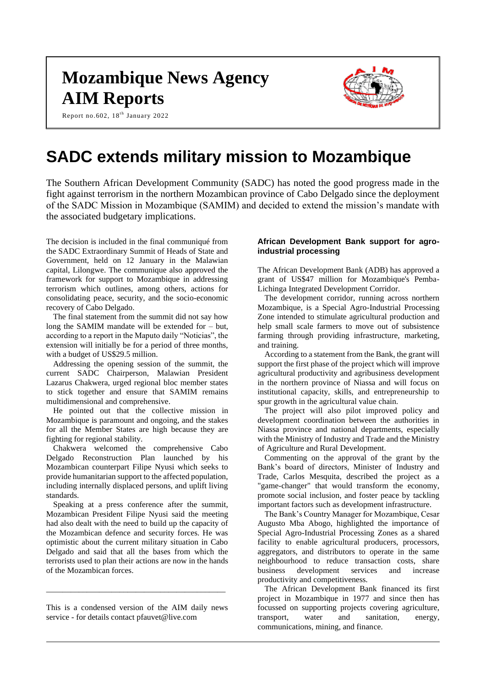# **Mozambique News Agency AIM Reports**

Report no.602, 18<sup>th</sup> January 2022



# **SADC extends military mission to Mozambique**

The Southern African Development Community (SADC) has noted the good progress made in the fight against terrorism in the northern Mozambican province of Cabo Delgado since the deployment of the SADC Mission in Mozambique (SAMIM) and decided to extend the mission's mandate with the associated budgetary implications.

The decision is included in the final communiqué from the SADC Extraordinary Summit of Heads of State and Government, held on 12 January in the Malawian capital, Lilongwe. The communique also approved the framework for support to Mozambique in addressing terrorism which outlines, among others, actions for consolidating peace, security, and the socio-economic recovery of Cabo Delgado.

The final statement from the summit did not say how long the SAMIM mandate will be extended for – but, according to a report in the Maputo daily "Noticias", the extension will initially be for a period of three months, with a budget of US\$29.5 million.

Addressing the opening session of the summit, the current SADC Chairperson, Malawian President Lazarus Chakwera, urged regional bloc member states to stick together and ensure that SAMIM remains multidimensional and comprehensive.

He pointed out that the collective mission in Mozambique is paramount and ongoing, and the stakes for all the Member States are high because they are fighting for regional stability.

Chakwera welcomed the comprehensive Cabo Delgado Reconstruction Plan launched by his Mozambican counterpart Filipe Nyusi which seeks to provide humanitarian support to the affected population, including internally displaced persons, and uplift living standards.

Speaking at a press conference after the summit, Mozambican President Filipe Nyusi said the meeting had also dealt with the need to build up the capacity of the Mozambican defence and security forces. He was optimistic about the current military situation in Cabo Delgado and said that all the bases from which the terrorists used to plan their actions are now in the hands of the Mozambican forces.

This is a condensed version of the AIM daily news service - for details contact pfauvet@live.com

\_\_\_\_\_\_\_\_\_\_\_\_\_\_\_\_\_\_\_\_\_\_\_\_\_\_\_\_\_\_\_\_\_\_\_\_\_\_\_\_\_\_\_\_

# **African Development Bank support for agroindustrial processing**

The African Development Bank (ADB) has approved a grant of US\$47 million for Mozambique's Pemba-Lichinga Integrated Development Corridor.

The development corridor, running across northern Mozambique, is a Special Agro-Industrial Processing Zone intended to stimulate agricultural production and help small scale farmers to move out of subsistence farming through providing infrastructure, marketing, and training.

According to a statement from the Bank, the grant will support the first phase of the project which will improve agricultural productivity and agribusiness development in the northern province of Niassa and will focus on institutional capacity, skills, and entrepreneurship to spur growth in the agricultural value chain.

The project will also pilot improved policy and development coordination between the authorities in Niassa province and national departments, especially with the Ministry of Industry and Trade and the Ministry of Agriculture and Rural Development.

Commenting on the approval of the grant by the Bank's board of directors, Minister of Industry and Trade, Carlos Mesquita, described the project as a "game-changer" that would transform the economy, promote social inclusion, and foster peace by tackling important factors such as development infrastructure.

The Bank's Country Manager for Mozambique, Cesar Augusto Mba Abogo, highlighted the importance of Special Agro-Industrial Processing Zones as a shared facility to enable agricultural producers, processors, aggregators, and distributors to operate in the same neighbourhood to reduce transaction costs, share business development services and increase productivity and competitiveness.

The African Development Bank financed its first project in Mozambique in 1977 and since then has focussed on supporting projects covering agriculture, transport, water and sanitation, energy, communications, mining, and finance.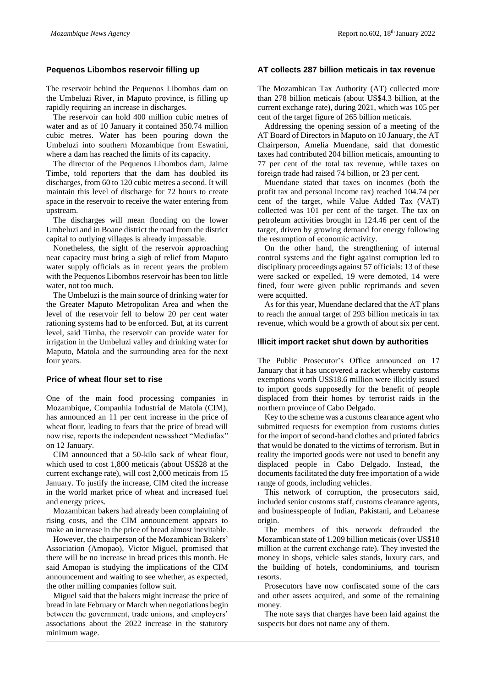# **Pequenos Libombos reservoir filling up**

The reservoir behind the Pequenos Libombos dam on the Umbeluzi River, in Maputo province, is filling up rapidly requiring an increase in discharges.

The reservoir can hold 400 million cubic metres of water and as of 10 January it contained 350.74 million cubic metres. Water has been pouring down the Umbeluzi into southern Mozambique from Eswatini, where a dam has reached the limits of its capacity.

The director of the Pequenos Libombos dam, Jaime Timbe, told reporters that the dam has doubled its discharges, from 60 to 120 cubic metres a second. It will maintain this level of discharge for 72 hours to create space in the reservoir to receive the water entering from upstream.

The discharges will mean flooding on the lower Umbeluzi and in Boane district the road from the district capital to outlying villages is already impassable.

Nonetheless, the sight of the reservoir approaching near capacity must bring a sigh of relief from Maputo water supply officials as in recent years the problem with the Pequenos Libombos reservoir has been too little water, not too much.

The Umbeluzi is the main source of drinking water for the Greater Maputo Metropolitan Area and when the level of the reservoir fell to below 20 per cent water rationing systems had to be enforced. But, at its current level, said Timba, the reservoir can provide water for irrigation in the Umbeluzi valley and drinking water for Maputo, Matola and the surrounding area for the next four years.

#### **Price of wheat flour set to rise**

One of the main food processing companies in Mozambique, Companhia Industrial de Matola (CIM), has announced an 11 per cent increase in the price of wheat flour, leading to fears that the price of bread will now rise, reports the independent newssheet "Mediafax" on 12 January.

CIM announced that a 50-kilo sack of wheat flour, which used to cost 1,800 meticais (about US\$28 at the current exchange rate), will cost 2,000 meticais from 15 January. To justify the increase, CIM cited the increase in the world market price of wheat and increased fuel and energy prices.

Mozambican bakers had already been complaining of rising costs, and the CIM announcement appears to make an increase in the price of bread almost inevitable.

However, the chairperson of the Mozambican Bakers' Association (Amopao), Victor Miguel, promised that there will be no increase in bread prices this month. He said Amopao is studying the implications of the CIM announcement and waiting to see whether, as expected, the other milling companies follow suit.

Miguel said that the bakers might increase the price of bread in late February or March when negotiations begin between the government, trade unions, and employers' associations about the 2022 increase in the statutory minimum wage.

# **AT collects 287 billion meticais in tax revenue**

The Mozambican Tax Authority (AT) collected more than 278 billion meticais (about US\$4.3 billion, at the current exchange rate), during 2021, which was 105 per cent of the target figure of 265 billion meticais.

Addressing the opening session of a meeting of the AT Board of Directors in Maputo on 10 January, the AT Chairperson, Amelia Muendane, said that domestic taxes had contributed 204 billion meticais, amounting to 77 per cent of the total tax revenue, while taxes on foreign trade had raised 74 billion, or 23 per cent.

Muendane stated that taxes on incomes (both the profit tax and personal income tax) reached 104.74 per cent of the target, while Value Added Tax (VAT) collected was 101 per cent of the target. The tax on petroleum activities brought in 124.46 per cent of the target, driven by growing demand for energy following the resumption of economic activity.

On the other hand, the strengthening of internal control systems and the fight against corruption led to disciplinary proceedings against 57 officials: 13 of these were sacked or expelled, 19 were demoted, 14 were fined, four were given public reprimands and seven were acquitted.

As for this year, Muendane declared that the AT plans to reach the annual target of 293 billion meticais in tax revenue, which would be a growth of about six per cent.

# **Illicit import racket shut down by authorities**

The Public Prosecutor's Office announced on 17 January that it has uncovered a racket whereby customs exemptions worth US\$18.6 million were illicitly issued to import goods supposedly for the benefit of people displaced from their homes by terrorist raids in the northern province of Cabo Delgado.

Key to the scheme was a customs clearance agent who submitted requests for exemption from customs duties for the import of second-hand clothes and printed fabrics that would be donated to the victims of terrorism. But in reality the imported goods were not used to benefit any displaced people in Cabo Delgado. Instead, the documents facilitated the duty free importation of a wide range of goods, including vehicles.

This network of corruption, the prosecutors said, included senior customs staff, customs clearance agents, and businesspeople of Indian, Pakistani, and Lebanese origin.

The members of this network defrauded the Mozambican state of 1.209 billion meticais (over US\$18 million at the current exchange rate). They invested the money in shops, vehicle sales stands, luxury cars, and the building of hotels, condominiums, and tourism resorts.

Prosecutors have now confiscated some of the cars and other assets acquired, and some of the remaining money.

The note says that charges have been laid against the suspects but does not name any of them.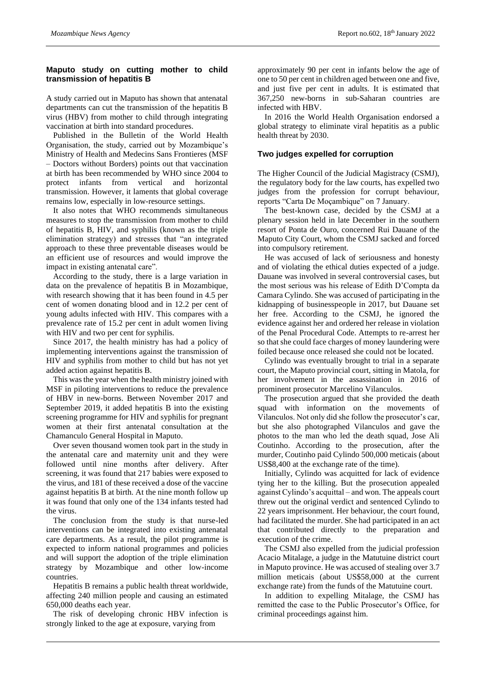# **Maputo study on cutting mother to child transmission of hepatitis B**

A study carried out in Maputo has shown that antenatal departments can cut the transmission of the hepatitis B virus (HBV) from mother to child through integrating vaccination at birth into standard procedures.

Published in the Bulletin of the World Health Organisation, the study, carried out by Mozambique's Ministry of Health and Medecins Sans Frontieres (MSF – Doctors without Borders) points out that vaccination at birth has been recommended by WHO since 2004 to protect infants from vertical and horizontal transmission. However, it laments that global coverage remains low, especially in low-resource settings.

It also notes that WHO recommends simultaneous measures to stop the transmission from mother to child of hepatitis B, HIV, and syphilis (known as the triple elimination strategy) and stresses that "an integrated approach to these three preventable diseases would be an efficient use of resources and would improve the impact in existing antenatal care".

According to the study, there is a large variation in data on the prevalence of hepatitis B in Mozambique, with research showing that it has been found in 4.5 per cent of women donating blood and in 12.2 per cent of young adults infected with HIV. This compares with a prevalence rate of 15.2 per cent in adult women living with HIV and two per cent for syphilis.

Since 2017, the health ministry has had a policy of implementing interventions against the transmission of HIV and syphilis from mother to child but has not yet added action against hepatitis B.

This was the year when the health ministry joined with MSF in piloting interventions to reduce the prevalence of HBV in new-borns. Between November 2017 and September 2019, it added hepatitis B into the existing screening programme for HIV and syphilis for pregnant women at their first antenatal consultation at the Chamanculo General Hospital in Maputo.

Over seven thousand women took part in the study in the antenatal care and maternity unit and they were followed until nine months after delivery. After screening, it was found that 217 babies were exposed to the virus, and 181 of these received a dose of the vaccine against hepatitis B at birth. At the nine month follow up it was found that only one of the 134 infants tested had the virus.

The conclusion from the study is that nurse-led interventions can be integrated into existing antenatal care departments. As a result, the pilot programme is expected to inform national programmes and policies and will support the adoption of the triple elimination strategy by Mozambique and other low-income countries.

Hepatitis B remains a public health threat worldwide, affecting 240 million people and causing an estimated 650,000 deaths each year.

The risk of developing chronic HBV infection is strongly linked to the age at exposure, varying from

approximately 90 per cent in infants below the age of one to 50 per cent in children aged between one and five, and just five per cent in adults. It is estimated that 367,250 new-borns in sub-Saharan countries are infected with HBV.

In 2016 the World Health Organisation endorsed a global strategy to eliminate viral hepatitis as a public health threat by 2030.

# **Two judges expelled for corruption**

The Higher Council of the Judicial Magistracy (CSMJ), the regulatory body for the law courts, has expelled two judges from the profession for corrupt behaviour, reports "Carta De Moçambique" on 7 January.

The best-known case, decided by the CSMJ at a plenary session held in late December in the southern resort of Ponta de Ouro, concerned Rui Dauane of the Maputo City Court, whom the CSMJ sacked and forced into compulsory retirement.

He was accused of lack of seriousness and honesty and of violating the ethical duties expected of a judge. Dauane was involved in several controversial cases, but the most serious was his release of Edith D'Compta da Camara Cylindo. She was accused of participating in the kidnapping of businesspeople in 2017, but Dauane set her free. According to the CSMJ, he ignored the evidence against her and ordered her release in violation of the Penal Procedural Code. Attempts to re-arrest her so that she could face charges of money laundering were foiled because once released she could not be located.

Cylindo was eventually brought to trial in a separate court, the Maputo provincial court, sitting in Matola, for her involvement in the assassination in 2016 of prominent prosecutor Marcelino Vilanculos.

The prosecution argued that she provided the death squad with information on the movements of Vilanculos. Not only did she follow the prosecutor's car, but she also photographed Vilanculos and gave the photos to the man who led the death squad, Jose Ali Coutinho. According to the prosecution, after the murder, Coutinho paid Cylindo 500,000 meticais (about US\$8,400 at the exchange rate of the time).

Initially, Cylindo was acquitted for lack of evidence tying her to the killing. But the prosecution appealed against Cylindo's acquittal – and won. The appeals court threw out the original verdict and sentenced Cylindo to 22 years imprisonment. Her behaviour, the court found, had facilitated the murder. She had participated in an act that contributed directly to the preparation and execution of the crime.

The CSMJ also expelled from the judicial profession Acacio Mitalage, a judge in the Matutuine district court in Maputo province. He was accused of stealing over 3.7 million meticais (about US\$58,000 at the current exchange rate) from the funds of the Matutuine court.

In addition to expelling Mitalage, the CSMJ has remitted the case to the Public Prosecutor's Office, for criminal proceedings against him.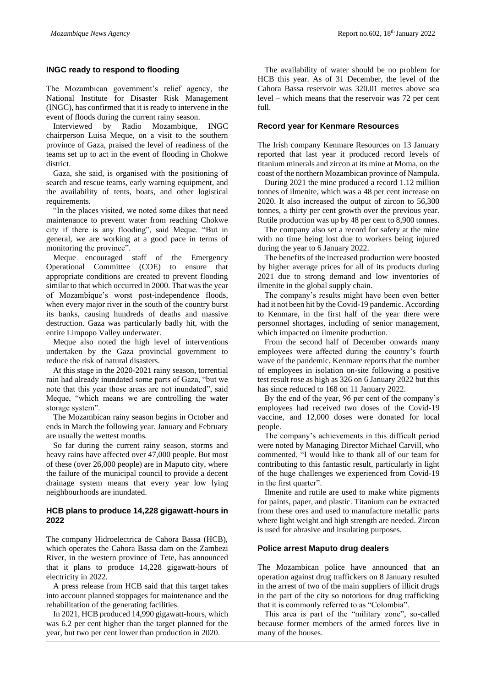# **INGC ready to respond to flooding**

The Mozambican government's relief agency, the National Institute for Disaster Risk Management (INGC), has confirmed that it is ready to intervene in the event of floods during the current rainy season.

Interviewed by Radio Mozambique, INGC chairperson Luisa Meque, on a visit to the southern province of Gaza, praised the level of readiness of the teams set up to act in the event of flooding in Chokwe district.

Gaza, she said, is organised with the positioning of search and rescue teams, early warning equipment, and the availability of tents, boats, and other logistical requirements.

"In the places visited, we noted some dikes that need maintenance to prevent water from reaching Chokwe city if there is any flooding", said Meque. "But in general, we are working at a good pace in terms of monitoring the province".

Meque encouraged staff of the Emergency Operational Committee (COE) to ensure that appropriate conditions are created to prevent flooding similar to that which occurred in 2000. That was the year of Mozambique's worst post-independence floods, when every major river in the south of the country burst its banks, causing hundreds of deaths and massive destruction. Gaza was particularly badly hit, with the entire Limpopo Valley underwater.

Meque also noted the high level of interventions undertaken by the Gaza provincial government to reduce the risk of natural disasters.

At this stage in the 2020-2021 rainy season, torrential rain had already inundated some parts of Gaza, "but we note that this year those areas are not inundated", said Meque, "which means we are controlling the water storage system".

The Mozambican rainy season begins in October and ends in March the following year. January and February are usually the wettest months.

So far during the current rainy season, storms and heavy rains have affected over 47,000 people. But most of these (over 26,000 people) are in Maputo city, where the failure of the municipal council to provide a decent drainage system means that every year low lying neighbourhoods are inundated.

# **HCB plans to produce 14,228 gigawatt-hours in 2022**

The company Hidroelectrica de Cahora Bassa (HCB), which operates the Cahora Bassa dam on the Zambezi River, in the western province of Tete, has announced that it plans to produce 14,228 gigawatt-hours of electricity in 2022.

A press release from HCB said that this target takes into account planned stoppages for maintenance and the rehabilitation of the generating facilities.

In 2021, HCB produced 14,990 gigawatt-hours, which was 6.2 per cent higher than the target planned for the year, but two per cent lower than production in 2020.

The availability of water should be no problem for HCB this year. As of 31 December, the level of the Cahora Bassa reservoir was 320.01 metres above sea level – which means that the reservoir was 72 per cent full.

#### **Record year for Kenmare Resources**

The Irish company Kenmare Resources on 13 January reported that last year it produced record levels of titanium minerals and zircon at its mine at Moma, on the coast of the northern Mozambican province of Nampula.

During 2021 the mine produced a record 1.12 million tonnes of ilmenite, which was a 48 per cent increase on 2020. It also increased the output of zircon to 56,300 tonnes, a thirty per cent growth over the previous year. Rutile production was up by 48 per cent to 8,900 tonnes.

The company also set a record for safety at the mine with no time being lost due to workers being injured during the year to 6 January 2022.

The benefits of the increased production were boosted by higher average prices for all of its products during 2021 due to strong demand and low inventories of ilmenite in the global supply chain.

The company's results might have been even better had it not been hit by the Covid-19 pandemic. According to Kenmare, in the first half of the year there were personnel shortages, including of senior management, which impacted on ilmenite production.

From the second half of December onwards many employees were affected during the country's fourth wave of the pandemic. Kenmare reports that the number of employees in isolation on-site following a positive test result rose as high as 326 on 6 January 2022 but this has since reduced to 168 on 11 January 2022.

By the end of the year, 96 per cent of the company's employees had received two doses of the Covid-19 vaccine, and 12,000 doses were donated for local people.

The company's achievements in this difficult period were noted by Managing Director Michael Carvill, who commented, "I would like to thank all of our team for contributing to this fantastic result, particularly in light of the huge challenges we experienced from Covid-19 in the first quarter".

Ilmenite and rutile are used to make white pigments for paints, paper, and plastic. Titanium can be extracted from these ores and used to manufacture metallic parts where light weight and high strength are needed. Zircon is used for abrasive and insulating purposes.

#### **Police arrest Maputo drug dealers**

The Mozambican police have announced that an operation against drug traffickers on 8 January resulted in the arrest of two of the main suppliers of illicit drugs in the part of the city so notorious for drug trafficking that it is commonly referred to as "Colombia".

This area is part of the "military zone", so-called because former members of the armed forces live in many of the houses.